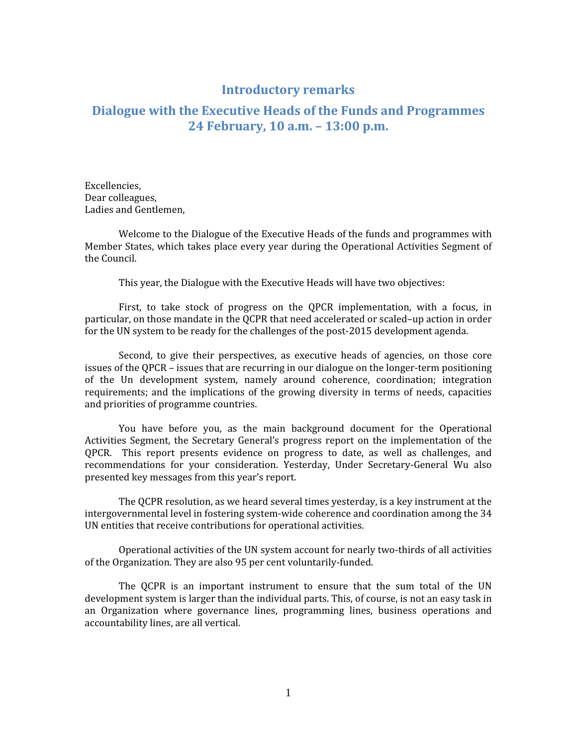## Introductory remarks

## Dialogue with the Executive Heads of the Funds and Programmes 24 February, 10 a.m. – 13:00 p.m.

Excellencies, Dear colleagues, Ladies and Gentlemen,

Welcome to the Dialogue of the Executive Heads of the funds and programmes with Member States, which takes place every year during the Operational Activities Segment of the Council.

This year, the Dialogue with the Executive Heads will have two objectives:

First, to take stock of progress on the QPCR implementation, with a focus, in particular, on those mandate in the QCPR that need accelerated or scaled–up action in order for the UN system to be ready for the challenges of the post-2015 development agenda.

Second, to give their perspectives, as executive heads of agencies, on those core issues of the QPCR – issues that are recurring in our dialogue on the longer-term positioning of the Un development system, namely around coherence, coordination; integration requirements; and the implications of the growing diversity in terms of needs, capacities and priorities of programme countries.

You have before you, as the main background document for the Operational Activities Segment, the Secretary General's progress report on the implementation of the QPCR. This report presents evidence on progress to date, as well as challenges, and recommendations for your consideration. Yesterday, Under Secretary-General Wu also presented key messages from this year's report.

The QCPR resolution, as we heard several times yesterday, is a key instrument at the intergovernmental level in fostering system-wide coherence and coordination among the 34 UN entities that receive contributions for operational activities.

Operational activities of the UN system account for nearly two-thirds of all activities of the Organization. They are also 95 per cent voluntarily-funded.

The QCPR is an important instrument to ensure that the sum total of the UN development system is larger than the individual parts. This, of course, is not an easy task in an Organization where governance lines, programming lines, business operations and accountability lines, are all vertical.